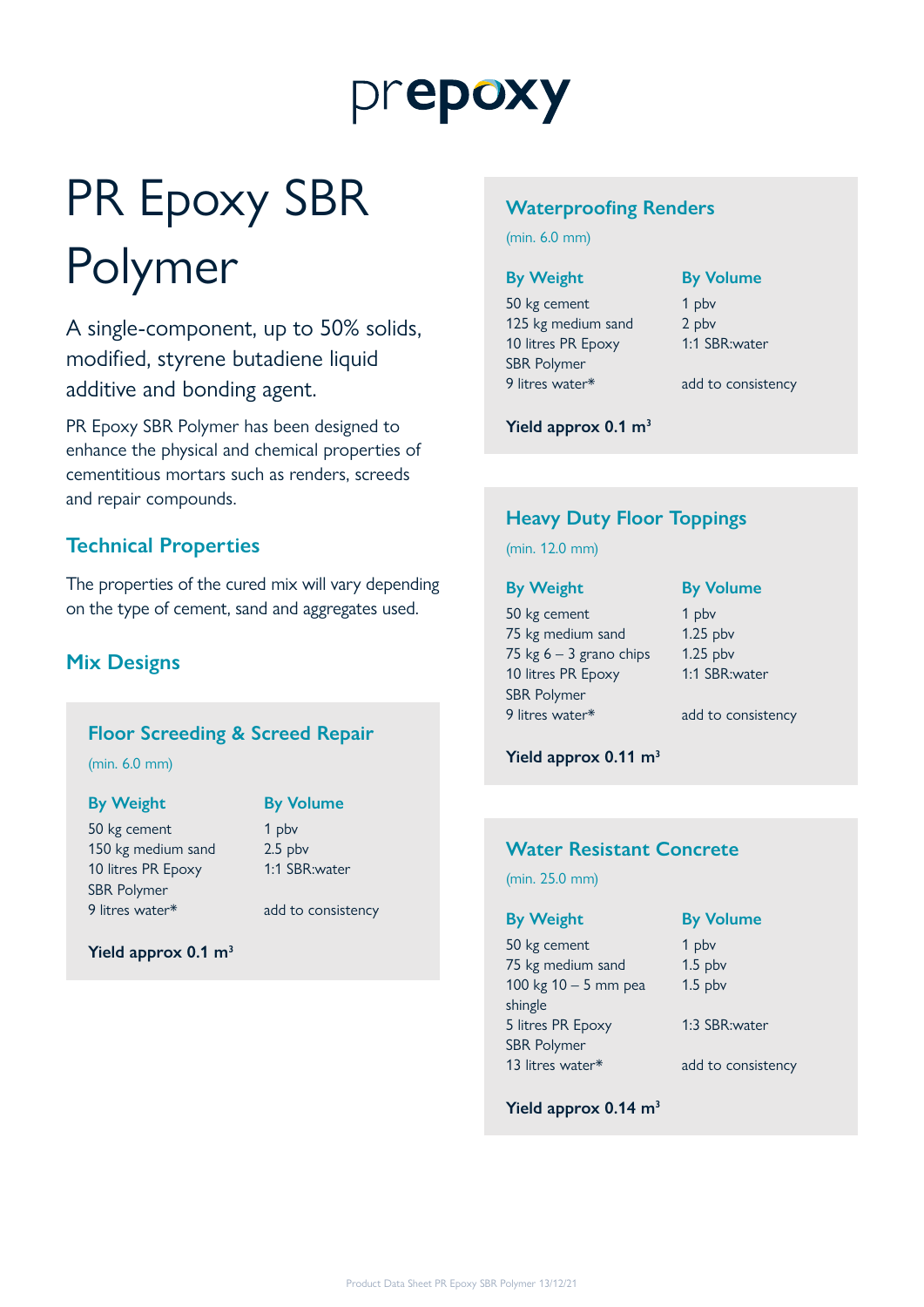# prepoxy

# PR Epoxy SBR Polymer

A single-component, up to 50% solids, modified, styrene butadiene liquid additive and bonding agent.

PR Epoxy SBR Polymer has been designed to enhance the physical and chemical properties of cementitious mortars such as renders, screeds and repair compounds.

## **Technical Properties**

The properties of the cured mix will vary depending on the type of cement, sand and aggregates used.

## **Mix Designs**

## **Floor Screeding & Screed Repair**

(min. 6.0 mm)

## **By Weight By Volume**

50 kg cement 1 pbv 150 kg medium sand 2.5 pbv 10 litres PR Epoxy SBR Polymer 9 litres water\* add to consistency

1:1 SBR:water

## **Yield approx 0.1 m3**

## **Waterproofing Renders**

(min. 6.0 mm)

50 kg cement 1 pbv 125 kg medium sand 2 pbv 10 litres PR Epoxy SBR Polymer 9 litres water\* add to consistency

## **By Weight By Volume**

1:1 SBR:water

**Yield approx 0.1 m3**

## **Heavy Duty Floor Toppings**

(min. 12.0 mm)

50 kg cement 1 pbv 75 kg medium sand 1.25 pbv 75 kg  $6 - 3$  grano chips 1.25 pbv 10 litres PR Epoxy SBR Polymer 9 litres water\* add to consistency

**By Weight By Volume**

1:1 SBR:water

**Yield approx 0.11 m3**

## **Water Resistant Concrete**

(min. 25.0 mm)

50 kg cement 1 pbv 75 kg medium sand 1.5 pbv 100 kg 10 – 5 mm pea shingle 5 litres PR Epoxy SBR Polymer

**By Weight By Volume**

1.5 pbv

1:3 SBR:water

13 litres water\* add to consistency

**Yield approx 0.14 m3**

Product Data Sheet PR Epoxy SBR Polymer 13/12/21